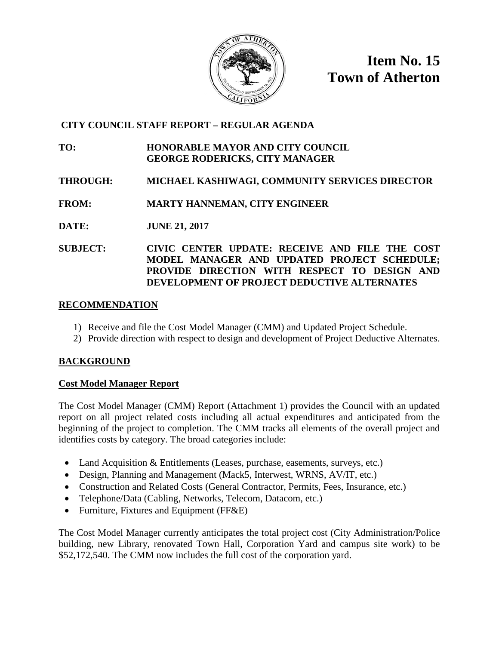

**Item No. 15 Town of Atherton**

## **CITY COUNCIL STAFF REPORT – REGULAR AGENDA**

### **TO: HONORABLE MAYOR AND CITY COUNCIL GEORGE RODERICKS, CITY MANAGER**

## **THROUGH: MICHAEL KASHIWAGI, COMMUNITY SERVICES DIRECTOR**

### **FROM: MARTY HANNEMAN, CITY ENGINEER**

**DATE: JUNE 21, 2017**

**SUBJECT: CIVIC CENTER UPDATE: RECEIVE AND FILE THE COST MODEL MANAGER AND UPDATED PROJECT SCHEDULE; PROVIDE DIRECTION WITH RESPECT TO DESIGN AND DEVELOPMENT OF PROJECT DEDUCTIVE ALTERNATES**

### **RECOMMENDATION**

- 1) Receive and file the Cost Model Manager (CMM) and Updated Project Schedule.
- 2) Provide direction with respect to design and development of Project Deductive Alternates.

### **BACKGROUND**

### **Cost Model Manager Report**

The Cost Model Manager (CMM) Report (Attachment 1) provides the Council with an updated report on all project related costs including all actual expenditures and anticipated from the beginning of the project to completion. The CMM tracks all elements of the overall project and identifies costs by category. The broad categories include:

- Land Acquisition & Entitlements (Leases, purchase, easements, surveys, etc.)
- Design, Planning and Management (Mack5, Interwest, WRNS, AV/IT, etc.)
- Construction and Related Costs (General Contractor, Permits, Fees, Insurance, etc.)
- Telephone/Data (Cabling, Networks, Telecom, Datacom, etc.)
- Furniture, Fixtures and Equipment (FF&E)

The Cost Model Manager currently anticipates the total project cost (City Administration/Police building, new Library, renovated Town Hall, Corporation Yard and campus site work) to be \$52,172,540. The CMM now includes the full cost of the corporation yard.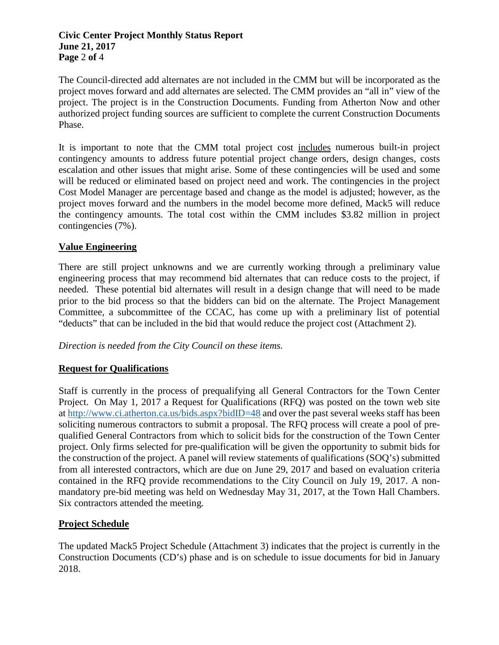### **Civic Center Project Monthly Status Report June 21, 2017 Page** 2 **of** 4

The Council-directed add alternates are not included in the CMM but will be incorporated as the project moves forward and add alternates are selected. The CMM provides an "all in" view of the project. The project is in the Construction Documents. Funding from Atherton Now and other authorized project funding sources are sufficient to complete the current Construction Documents Phase.

It is important to note that the CMM total project cost includes numerous built-in project contingency amounts to address future potential project change orders, design changes, costs escalation and other issues that might arise. Some of these contingencies will be used and some will be reduced or eliminated based on project need and work. The contingencies in the project Cost Model Manager are percentage based and change as the model is adjusted; however, as the project moves forward and the numbers in the model become more defined, Mack5 will reduce the contingency amounts. The total cost within the CMM includes \$3.82 million in project contingencies (7%).

### **Value Engineering**

There are still project unknowns and we are currently working through a preliminary value engineering process that may recommend bid alternates that can reduce costs to the project, if needed. These potential bid alternates will result in a design change that will need to be made prior to the bid process so that the bidders can bid on the alternate. The Project Management Committee, a subcommittee of the CCAC, has come up with a preliminary list of potential "deducts" that can be included in the bid that would reduce the project cost (Attachment 2).

*Direction is needed from the City Council on these items.* 

### **Request for Qualifications**

Staff is currently in the process of prequalifying all General Contractors for the Town Center Project. On May 1, 2017 a Request for Qualifications (RFQ) was posted on the town web site at<http://www.ci.atherton.ca.us/bids.aspx?bidID=48> and over the past several weeks staff has been soliciting numerous contractors to submit a proposal. The RFQ process will create a pool of prequalified General Contractors from which to solicit bids for the construction of the Town Center project. Only firms selected for pre-qualification will be given the opportunity to submit bids for the construction of the project. A panel will review statements of qualifications (SOQ's) submitted from all interested contractors, which are due on June 29, 2017 and based on evaluation criteria contained in the RFQ provide recommendations to the City Council on July 19, 2017. A nonmandatory pre-bid meeting was held on Wednesday May 31, 2017, at the Town Hall Chambers. Six contractors attended the meeting.

### **Project Schedule**

The updated Mack5 Project Schedule (Attachment 3) indicates that the project is currently in the Construction Documents (CD's) phase and is on schedule to issue documents for bid in January 2018.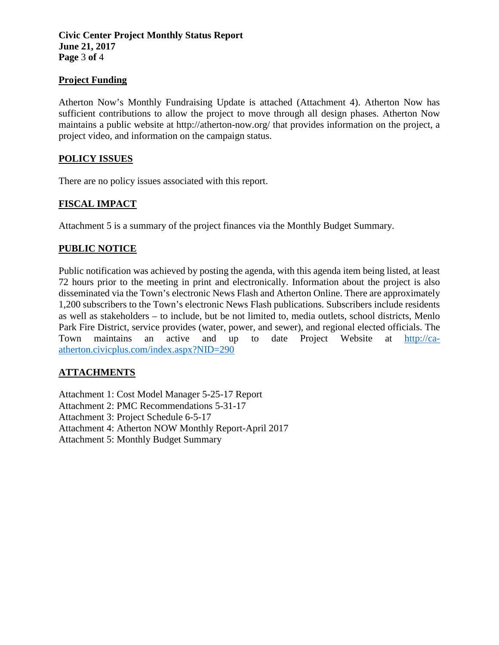### **Civic Center Project Monthly Status Report June 21, 2017 Page** 3 **of** 4

### **Project Funding**

Atherton Now's Monthly Fundraising Update is attached (Attachment 4). Atherton Now has sufficient contributions to allow the project to move through all design phases. Atherton Now maintains a public website at http://atherton-now.org/ that provides information on the project, a project video, and information on the campaign status.

### **POLICY ISSUES**

There are no policy issues associated with this report.

### **FISCAL IMPACT**

Attachment 5 is a summary of the project finances via the Monthly Budget Summary.

### **PUBLIC NOTICE**

Public notification was achieved by posting the agenda, with this agenda item being listed, at least 72 hours prior to the meeting in print and electronically. Information about the project is also disseminated via the Town's electronic News Flash and Atherton Online. There are approximately 1,200 subscribers to the Town's electronic News Flash publications. Subscribers include residents as well as stakeholders – to include, but be not limited to, media outlets, school districts, Menlo Park Fire District, service provides (water, power, and sewer), and regional elected officials. The Town maintains an active and up to date Project Website at [http://ca](http://ca-atherton.civicplus.com/index.aspx?NID=290)[atherton.civicplus.com/index.aspx?NID=290](http://ca-atherton.civicplus.com/index.aspx?NID=290)

### **ATTACHMENTS**

Attachment 1: Cost Model Manager 5-25-17 Report

Attachment 2: PMC Recommendations 5-31-17

Attachment 3: Project Schedule 6-5-17

Attachment 4: Atherton NOW Monthly Report-April 2017

Attachment 5: Monthly Budget Summary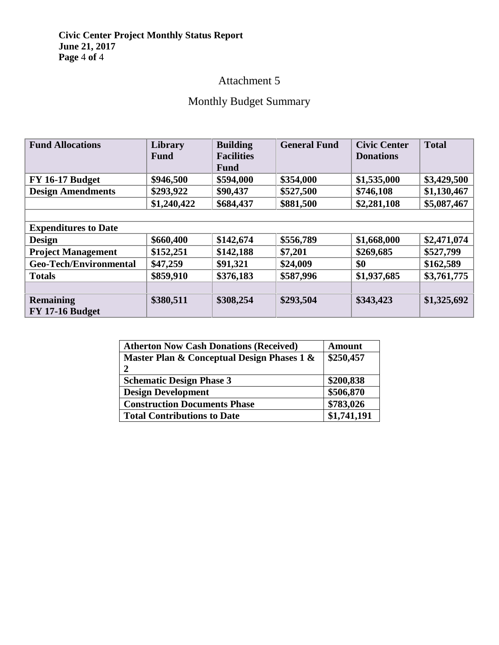### **Civic Center Project Monthly Status Report June 21, 2017 Page** 4 **of** 4

# Attachment 5

# Monthly Budget Summary

| <b>Fund Allocations</b>                    | <b>Library</b><br><b>Fund</b> | <b>Building</b><br><b>Facilities</b><br><b>Fund</b> | <b>General Fund</b> | <b>Civic Center</b><br><b>Donations</b> | <b>Total</b> |
|--------------------------------------------|-------------------------------|-----------------------------------------------------|---------------------|-----------------------------------------|--------------|
| <b>FY 16-17 Budget</b>                     | \$946,500                     | \$594,000                                           | \$354,000           | \$1,535,000                             | \$3,429,500  |
| <b>Design Amendments</b>                   | \$293,922                     | \$90,437                                            | \$527,500           | \$746,108                               | \$1,130,467  |
|                                            | \$1,240,422                   | \$684,437                                           | \$881,500           | \$2,281,108                             | \$5,087,467  |
|                                            |                               |                                                     |                     |                                         |              |
| <b>Expenditures to Date</b>                |                               |                                                     |                     |                                         |              |
| <b>Design</b>                              | \$660,400                     | \$142,674                                           | \$556,789           | \$1,668,000                             | \$2,471,074  |
| <b>Project Management</b>                  | \$152,251                     | \$142,188                                           | \$7,201             | \$269,685                               | \$527,799    |
| <b>Geo-Tech/Environmental</b>              | \$47,259                      | \$91,321                                            | \$24,009            | \$0                                     | \$162,589    |
| <b>Totals</b>                              | \$859,910                     | \$376,183                                           | \$587,996           | \$1,937,685                             | \$3,761,775  |
|                                            |                               |                                                     |                     |                                         |              |
| <b>Remaining</b><br><b>FY 17-16 Budget</b> | \$380,511                     | \$308,254                                           | \$293,504           | \$343,423                               | \$1,325,692  |

| <b>Atherton Now Cash Donations (Received)</b> | <b>Amount</b> |
|-----------------------------------------------|---------------|
| Master Plan & Conceptual Design Phases 1 &    | \$250,457     |
| 2                                             |               |
| <b>Schematic Design Phase 3</b>               | \$200,838     |
| <b>Design Development</b>                     | \$506,870     |
| <b>Construction Documents Phase</b>           | \$783,026     |
| <b>Total Contributions to Date</b>            | \$1,741,191   |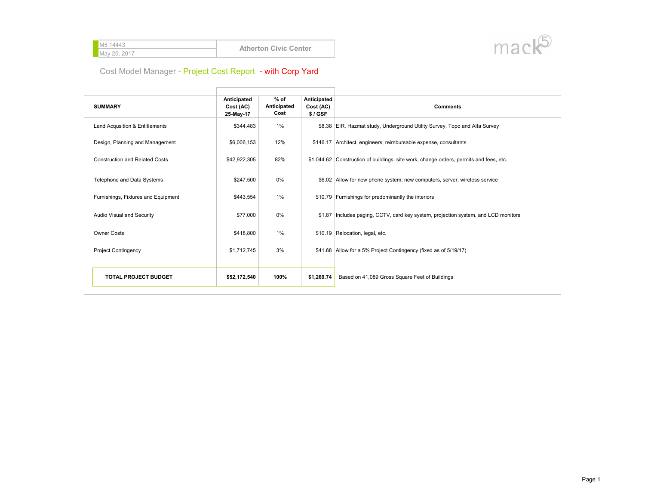| <b>M5 14443</b> | <b>Atherton Civic Center</b> |
|-----------------|------------------------------|
| May 25, 2017    |                              |
|                 |                              |



| <b>SUMMARY</b>                        | Anticipated<br>Cost (AC)<br>25-May-17 | $%$ of<br>Anticipated<br>Cost | Anticipated<br>Cost (AC)<br>$$/$ GSF | <b>Comments</b>                                                                        |
|---------------------------------------|---------------------------------------|-------------------------------|--------------------------------------|----------------------------------------------------------------------------------------|
| Land Acqusition & Entitlements        | \$344,483                             | 1%                            |                                      | \$8.38 EIR, Hazmat study, Underground Utility Survey, Topo and Alta Survey             |
| Design, Planning and Management       | \$6,006,153                           | 12%                           |                                      | \$146.17 Architect, engineers, reimbursable expense, consultants                       |
| <b>Construction and Related Costs</b> | \$42,922,305                          | 82%                           |                                      | \$1,044.62 Construction of buildings, site work, change orders, permits and fees, etc. |
| Telephone and Data Systems            | \$247,500                             | $0\%$                         |                                      | \$6.02 Allow for new phone system; new computers, server, wireless service             |
| Furnishings, Fixtures and Equipment   | \$443,554                             | 1%                            |                                      | \$10.79 Furnishings for predominantly the interiors                                    |
| Audio Visual and Security             | \$77,000                              | 0%                            |                                      | \$1.87   Includes paging, CCTV, card key system, projection system, and LCD monitors   |
| <b>Owner Costs</b>                    | \$418,800                             | 1%                            |                                      | \$10.19 Relocation, legal, etc.                                                        |
| <b>Project Contingency</b>            | \$1,712,745                           | 3%                            |                                      | \$41.68 Allow for a 5% Project Contingency (fixed as of 5/19/17)                       |
|                                       |                                       |                               |                                      |                                                                                        |
| <b>TOTAL PROJECT BUDGET</b>           | \$52,172,540                          | 100%                          | \$1,269.74                           | Based on 41,089 Gross Square Feet of Buildings                                         |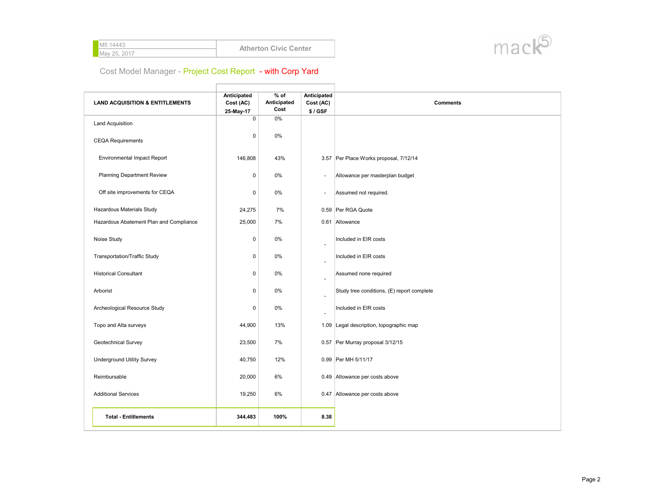| <b>M5 14443</b> | <b>Atherton Civic Center</b> |
|-----------------|------------------------------|
| May 25, 2017    |                              |
|                 |                              |



 $\Box$ 

| <b>LAND ACQUISITION &amp; ENTITLEMENTS</b> | Anticipated<br>Cost (AC)<br>25-May-17 | $%$ of<br>Anticipated<br>Cost | Anticipated<br>Cost (AC)<br>\$/GSF | <b>Comments</b>                            |
|--------------------------------------------|---------------------------------------|-------------------------------|------------------------------------|--------------------------------------------|
| <b>Land Acquisition</b>                    | $\mathbf 0$                           | 0%                            |                                    |                                            |
| <b>CEQA Requirements</b>                   | $\mathbf 0$                           | $0\%$                         |                                    |                                            |
| <b>Environmental Impact Report</b>         | 146,808                               | 43%                           |                                    | 3.57 Per Place Works proposal, 7/12/14     |
| <b>Planning Department Review</b>          | $\mathbf 0$                           | 0%                            | $\overline{\phantom{a}}$           | Allowance per masterplan budget            |
| Off site improvements for CEQA             | $\mathbf 0$                           | 0%                            | $\blacksquare$                     | Assumed not required.                      |
| Hazardous Materials Study                  | 24,275                                | 7%                            |                                    | 0.59 Per RGA Quote                         |
| Hazardous Abatement Plan and Compliance    | 25,000                                | 7%                            |                                    | 0.61 Allowance                             |
| Noise Study                                | $\mathbf 0$                           | 0%                            | ÷,                                 | Included in EIR costs                      |
| <b>Transportation/Traffic Study</b>        | $\mathbf 0$                           | 0%                            | ٠                                  | Included in EIR costs                      |
| <b>Historical Consultant</b>               | $\pmb{0}$                             | 0%                            | ÷,                                 | Assumed none required                      |
| Arborist                                   | $\mathbf 0$                           | 0%                            | ä,                                 | Study tree conditions, (E) report complete |
| Archeological Resource Study               | $\mathbf 0$                           | 0%                            | ÷,                                 | Included in EIR costs                      |
| Topo and Alta surveys                      | 44,900                                | 13%                           |                                    | 1.09 Legal description, topographic map    |
| Geotechnical Survey                        | 23,500                                | 7%                            |                                    | 0.57 Per Murray proposal 3/12/15           |
| <b>Underground Utility Survey</b>          | 40,750                                | 12%                           |                                    | 0.99 Per MH 5/11/17                        |
| Reimbursable                               | 20,000                                | 6%                            |                                    | 0.49 Allowance per costs above             |
| <b>Additional Services</b>                 | 19,250                                | 6%                            |                                    | 0.47 Allowance per costs above             |
| <b>Total - Entitlements</b>                | 344,483                               | 100%                          | 8.38                               |                                            |

 $\overline{\phantom{a}}$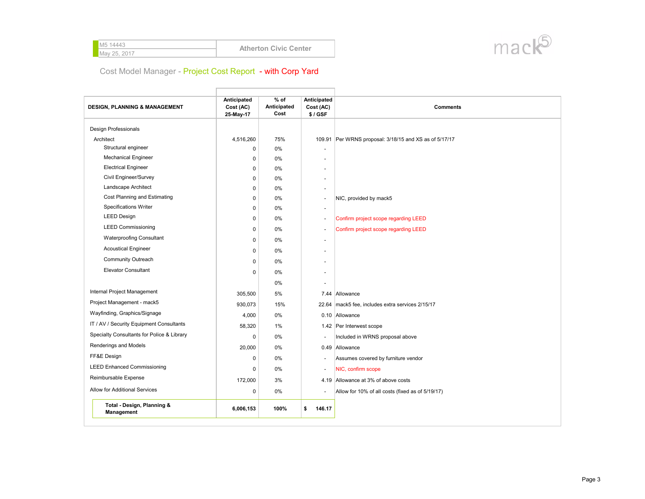| <b>M5 14443</b> | <b>Atherton Civic Center</b> |
|-----------------|------------------------------|
| May 25, 2017    |                              |
|                 |                              |



| <b>DESIGN, PLANNING &amp; MANAGEMENT</b>   | Anticipated<br>Cost (AC)<br>25-May-17 | $%$ of<br>Anticipated<br>Cost | <b>Anticipated</b><br>Cost (AC)<br>\$/GSF | <b>Comments</b>                                        |
|--------------------------------------------|---------------------------------------|-------------------------------|-------------------------------------------|--------------------------------------------------------|
| <b>Design Professionals</b>                |                                       |                               |                                           |                                                        |
| Architect                                  | 4,516,260                             | 75%                           |                                           | 109.91 Per WRNS proposal: 3/18/15 and XS as of 5/17/17 |
| Structural engineer                        | 0                                     | 0%                            |                                           |                                                        |
| <b>Mechanical Engineer</b>                 | 0                                     | 0%                            |                                           |                                                        |
| <b>Electrical Engineer</b>                 | 0                                     | 0%                            |                                           |                                                        |
| Civil Engineer/Survey                      | 0                                     | 0%                            |                                           |                                                        |
| Landscape Architect                        | 0                                     | 0%                            | $\sim$                                    |                                                        |
| Cost Planning and Estimating               | 0                                     | 0%                            | $\overline{a}$                            | NIC, provided by mack5                                 |
| <b>Specifications Writer</b>               | 0                                     | 0%                            |                                           |                                                        |
| <b>LEED Design</b>                         | 0                                     | 0%                            | $\overline{\phantom{a}}$                  | Confirm project scope regarding LEED                   |
| <b>LEED Commissioning</b>                  | 0                                     | 0%                            |                                           | Confirm project scope regarding LEED                   |
| <b>Waterproofing Consultant</b>            | 0                                     | 0%                            |                                           |                                                        |
| <b>Acoustical Engineer</b>                 | 0                                     | 0%                            |                                           |                                                        |
| Community Outreach                         | 0                                     | 0%                            |                                           |                                                        |
| <b>Elevator Consultant</b>                 | 0                                     | 0%                            |                                           |                                                        |
|                                            |                                       | 0%                            |                                           |                                                        |
| Internal Project Management                |                                       | 5%                            |                                           |                                                        |
| Project Management - mack5                 | 305,500                               |                               |                                           | 7.44 Allowance                                         |
| Wayfinding, Graphics/Signage               | 930,073                               | 15%                           |                                           | 22.64 mack5 fee, includes extra services 2/15/17       |
|                                            | 4,000                                 | $0\%$                         |                                           | 0.10 Allowance                                         |
| IT / AV / Security Equipment Consultants   | 58,320                                | 1%                            |                                           | 1.42 Per Interwest scope                               |
| Specialty Consultants for Police & Library | 0                                     | 0%                            |                                           | Included in WRNS proposal above                        |
| Renderings and Models                      | 20,000                                | 0%                            |                                           | 0.49 Allowance                                         |
| FF&E Design                                | 0                                     | 0%                            | $\blacksquare$                            | Assumes covered by furniture vendor                    |
| <b>LEED Enhanced Commissioning</b>         | $\Omega$                              | 0%                            | $\blacksquare$                            | NIC, confirm scope                                     |
| Reimbursable Expense                       | 172,000                               | 3%                            |                                           | 4.19 Allowance at 3% of above costs                    |
| Allow for Additional Services              | 0                                     | 0%                            |                                           | Allow for 10% of all costs (fixed as of 5/19/17)       |
| Total - Design, Planning &<br>Management   | 6,006,153                             | 100%                          | \$<br>146.17                              |                                                        |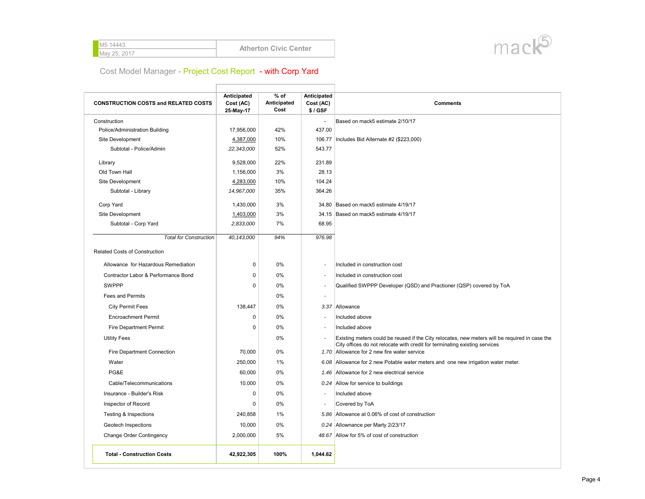| <b>M5 14443</b> | <b>Atherton Civic Center</b> |
|-----------------|------------------------------|
| May 25, 2017    |                              |



| <b>CONSTRUCTION COSTS and RELATED COSTS</b> | Anticipated<br>Cost (AC)<br>25-May-17 | $%$ of<br>Anticipated<br>Cost | Anticipated<br>Cost (AC)<br>\$/GSF | <b>Comments</b>                                                                                                                                                              |
|---------------------------------------------|---------------------------------------|-------------------------------|------------------------------------|------------------------------------------------------------------------------------------------------------------------------------------------------------------------------|
| Construction                                |                                       |                               | ÷.                                 | Based on mack5 estimate 2/10/17                                                                                                                                              |
| Police/Administration Building              | 17,956,000                            | 42%                           | 437.00                             |                                                                                                                                                                              |
| Site Development                            | 4,387,000                             | 10%                           |                                    | 106.77   Includes Bid Alternate #2 (\$223,000)                                                                                                                               |
| Subtotal - Police/Admin                     | 22,343,000                            | 52%                           | 543.77                             |                                                                                                                                                                              |
| Library                                     | 9,528,000                             | 22%                           | 231.89                             |                                                                                                                                                                              |
| Old Town Hall                               | 1,156,000                             | 3%                            | 28.13                              |                                                                                                                                                                              |
| Site Development                            | 4,283,000                             | 10%                           | 104.24                             |                                                                                                                                                                              |
| Subtotal - Library                          | 14,967,000                            | 35%                           | 364.26                             |                                                                                                                                                                              |
| Corp Yard                                   | 1,430,000                             | 3%                            |                                    | 34.80 Based on mack5 estimate 4/19/17                                                                                                                                        |
| Site Development                            | 1,403,000                             | 3%                            |                                    | 34.15 Based on mack5 estimate 4/19/17                                                                                                                                        |
| Subtotal - Corp Yard                        | 2,833,000                             | 7%                            | 68.95                              |                                                                                                                                                                              |
| <b>Total for Construction</b>               | 40, 143, 000                          | 94%                           | 976.98                             |                                                                                                                                                                              |
| Related Costs of Construction               |                                       |                               |                                    |                                                                                                                                                                              |
| Allowance for Hazardous Remediation         | $\pmb{0}$                             | 0%                            | $\overline{a}$                     | Included in construction cost                                                                                                                                                |
| Contractor Labor & Performance Bond         | 0                                     | 0%                            | $\overline{\phantom{a}}$           | Included in construction cost                                                                                                                                                |
| <b>SWPPP</b>                                | $\Omega$                              | 0%                            | $\overline{\phantom{a}}$           | Qualified SWPPP Developer (QSD) and Practioner (QSP) covered by ToA                                                                                                          |
| <b>Fees and Permits</b>                     |                                       | 0%                            | $\overline{\phantom{a}}$           |                                                                                                                                                                              |
| <b>City Permit Fees</b>                     | 138,447                               | 0%                            |                                    | 3.37 Allowance                                                                                                                                                               |
| <b>Encroachment Permit</b>                  | 0                                     | 0%                            | $\overline{\phantom{a}}$           | Included above                                                                                                                                                               |
| <b>Fire Department Permit</b>               | 0                                     | 0%                            | $\ddot{\phantom{a}}$               | Included above                                                                                                                                                               |
| <b>Utility Fees</b>                         |                                       | 0%                            |                                    | Existing meters could be reused if the City relocates, new meters will be required in case the<br>City offices do not relocate with credit for terminating existing services |
| Fire Department Connection                  | 70,000                                | 0%                            |                                    | 1.70 Allowance for 2 new fire water service                                                                                                                                  |
| Water                                       | 250,000                               | 1%                            |                                    | 6.08 Allowance for 2 new Potable water meters and one new irrigation water meter.                                                                                            |
| PG&E                                        | 60,000                                | 0%                            |                                    | 1.46 Allowance for 2 new electrical service                                                                                                                                  |
| Cable/Telecommunications                    | 10,000                                | 0%                            |                                    | 0.24 Allow for service to buildings                                                                                                                                          |
| Insurance - Builder's Risk                  | 0                                     | 0%                            | $\sim$                             | Included above                                                                                                                                                               |
| Inspector of Record                         | $\Omega$                              | 0%                            |                                    | Covered by ToA                                                                                                                                                               |
| <b>Testing &amp; Inspections</b>            | 240,858                               | 1%                            |                                    | 5.86 Allowance at 0.06% of cost of construction                                                                                                                              |
| Geotech Inspections                         | 10,000                                | 0%                            |                                    | 0.24 Allownance per Marty 2/23/17                                                                                                                                            |
| <b>Change Order Contingency</b>             | 2,000,000                             | 5%                            |                                    | 48.67 Allow for 5% of cost of construction                                                                                                                                   |
| <b>Total - Construction Costs</b>           | 42,922,305                            | 100%                          | 1,044.62                           |                                                                                                                                                                              |

Ť.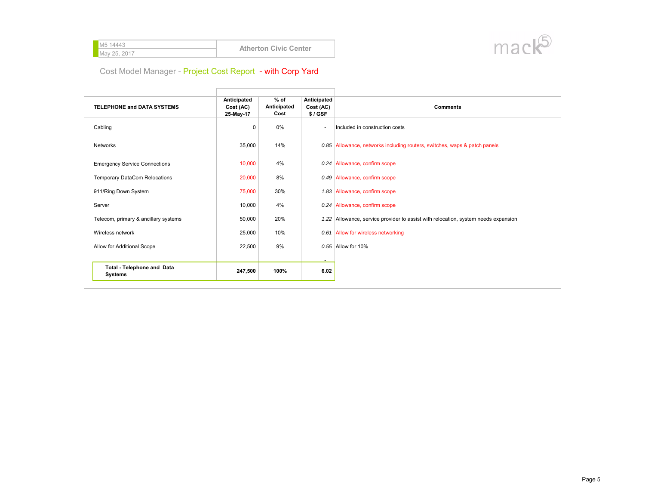| <b>M</b> 5 14443 | <b>Atherton Civic Center</b> |
|------------------|------------------------------|
| May 25, 2017     |                              |
|                  |                              |



| <b>TELEPHONE and DATA SYSTEMS</b>                   | Anticipated<br>Cost (AC)<br>25-May-17 | $%$ of<br>Anticipated<br>Cost | Anticipated<br>Cost (AC)<br>$$/$ GSF | <b>Comments</b>                                                                    |
|-----------------------------------------------------|---------------------------------------|-------------------------------|--------------------------------------|------------------------------------------------------------------------------------|
| Cabling                                             | $\mathsf 0$                           | 0%                            | $\overline{\phantom{a}}$             | Included in construction costs                                                     |
| <b>Networks</b>                                     | 35,000                                | 14%                           |                                      | 0.85 Allowance, networks including routers, switches, waps & patch panels          |
| <b>Emergency Service Connections</b>                | 10,000                                | 4%                            |                                      | 0.24 Allowance, confirm scope                                                      |
| <b>Temporary DataCom Relocations</b>                | 20,000                                | 8%                            |                                      | 0.49 Allowance, confirm scope                                                      |
| 911/Ring Down System                                | 75,000                                | 30%                           |                                      | 1.83 Allowance, confirm scope                                                      |
| Server                                              | 10,000                                | 4%                            |                                      | 0.24 Allowance, confirm scope                                                      |
| Telecom, primary & ancillary systems                | 50,000                                | 20%                           |                                      | 1.22 Allowance, service provider to assist with relocation, system needs expansion |
| Wireless network                                    | 25,000                                | 10%                           |                                      | 0.61 Allow for wireless networking                                                 |
| Allow for Additional Scope                          | 22,500                                | 9%                            |                                      | $0.55$ Allow for 10%                                                               |
|                                                     |                                       |                               | $\overline{\phantom{a}}$             |                                                                                    |
| <b>Total - Telephone and Data</b><br><b>Systems</b> | 247,500                               | 100%                          | 6.02                                 |                                                                                    |

Ĥ.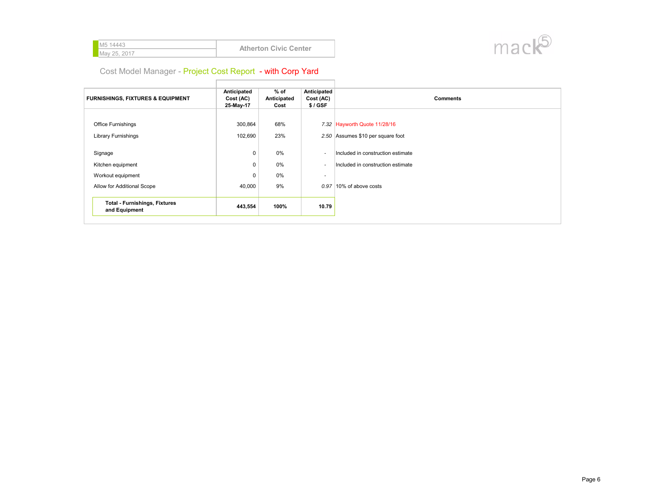| <b>M5 14443</b> | <b>Atherton Civic Center</b> |
|-----------------|------------------------------|
| May 25, 2017    |                              |



 $\Box$ 

| <b>FURNISHINGS, FIXTURES &amp; EQUIPMENT</b>          | Anticipated<br>Cost (AC)<br>25-May-17 | $%$ of<br>Anticipated<br>Cost | Anticipated<br>Cost (AC)<br>\$/GSF | <b>Comments</b>                   |
|-------------------------------------------------------|---------------------------------------|-------------------------------|------------------------------------|-----------------------------------|
| Office Furnishings                                    | 300,864                               | 68%                           |                                    | 7.32 Hayworth Quote 11/28/16      |
| <b>Library Furnishings</b>                            | 102,690                               | 23%                           |                                    | 2.50 Assumes \$10 per square foot |
| Signage                                               | $\mathbf 0$                           | 0%                            |                                    | Included in construction estimate |
| Kitchen equipment                                     | $\mathbf 0$                           | 0%                            | $\overline{\phantom{a}}$           | Included in construction estimate |
| Workout equipment                                     | $\mathbf 0$                           | 0%                            | $\overline{\phantom{a}}$           |                                   |
| Allow for Additional Scope                            | 40,000                                | 9%                            |                                    | $0.97$  10% of above costs        |
| <b>Total - Furnishings, Fixtures</b><br>and Equipment | 443,554                               | 100%                          | 10.79                              |                                   |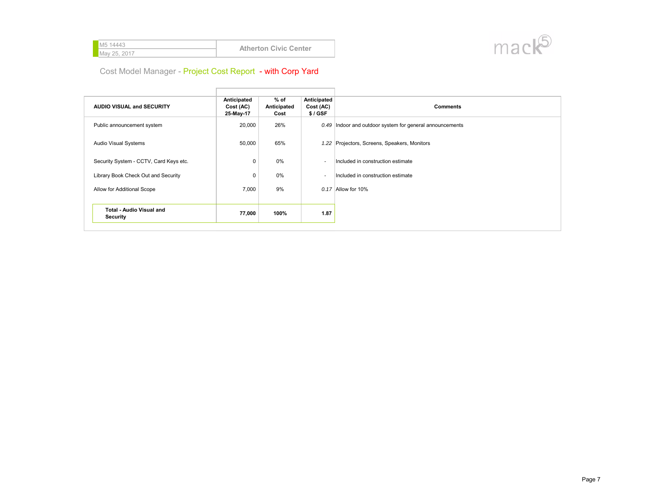| <b>M5 14443</b> | <b>Atherton Civic Center</b> |
|-----------------|------------------------------|
| May 25, 2017    |                              |
|                 |                              |



| <b>AUDIO VISUAL and SECURITY</b>            | Anticipated<br>Cost (AC)<br>25-May-17 | $%$ of<br>Anticipated<br>Cost | Anticipated<br>Cost (AC)<br>$$/$ GSF | <b>Comments</b>                                          |
|---------------------------------------------|---------------------------------------|-------------------------------|--------------------------------------|----------------------------------------------------------|
| Public announcement system                  | 20,000                                | 26%                           |                                      | 0.49 Indoor and outdoor system for general announcements |
| Audio Visual Systems                        | 50,000                                | 65%                           |                                      | 1.22 Projectors, Screens, Speakers, Monitors             |
| Security System - CCTV, Card Keys etc.      | $\mathbf 0$                           | 0%                            | $\overline{\phantom{a}}$             | Included in construction estimate                        |
| Library Book Check Out and Security         | 0                                     | $0\%$                         | ٠.                                   | Included in construction estimate                        |
| Allow for Additional Scope                  | 7,000                                 | 9%                            |                                      | $0.17$ Allow for 10%                                     |
|                                             |                                       |                               |                                      |                                                          |
| <b>Total - Audio Visual and</b><br>Security | 77,000                                | 100%                          | 1.87                                 |                                                          |

Ť.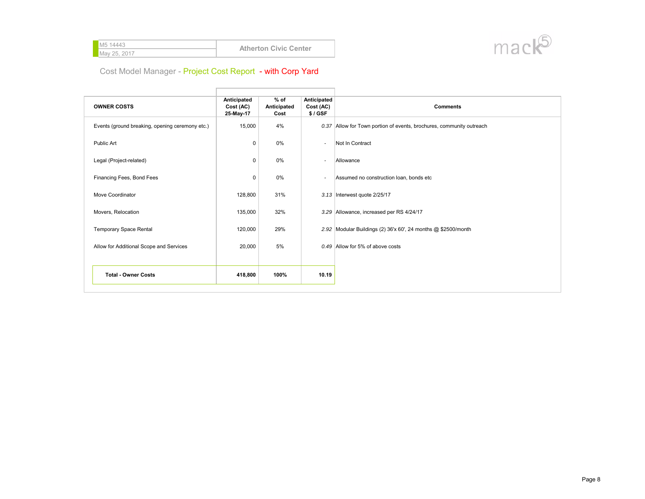| <b>M5 14443</b> | <b>Atherton Civic Center</b> |
|-----------------|------------------------------|
| May 25, 2017    |                              |



| <b>OWNER COSTS</b>                              | Anticipated<br>Cost (AC)<br>25-May-17 | $%$ of<br>Anticipated<br>Cost | Anticipated<br>Cost (AC)<br>\$/GSF | <b>Comments</b>                                                      |
|-------------------------------------------------|---------------------------------------|-------------------------------|------------------------------------|----------------------------------------------------------------------|
| Events (ground breaking, opening ceremony etc.) | 15,000                                | 4%                            |                                    | 0.37 Allow for Town portion of events, brochures, community outreach |
| Public Art                                      | $\mathsf 0$                           | 0%                            | $\overline{\phantom{a}}$           | Not In Contract                                                      |
| Legal (Project-related)                         | $\mathsf 0$                           | 0%                            | $\overline{\phantom{a}}$           | Allowance                                                            |
| Financing Fees, Bond Fees                       | $\mathsf 0$                           | $0\%$                         | $\overline{a}$                     | Assumed no construction loan, bonds etc                              |
| Move Coordinator                                | 128,800                               | 31%                           |                                    | 3.13 Interwest quote 2/25/17                                         |
| Movers, Relocation                              | 135,000                               | 32%                           |                                    | 3.29 Allowance, increased per RS 4/24/17                             |
| <b>Temporary Space Rental</b>                   | 120,000                               | 29%                           |                                    | 2.92 Modular Buildings (2) 36'x 60', 24 months @ \$2500/month        |
| Allow for Additional Scope and Services         | 20,000                                | 5%                            |                                    | $0.49$ Allow for 5% of above costs                                   |
|                                                 |                                       |                               |                                    |                                                                      |
| <b>Total - Owner Costs</b>                      | 418,800                               | 100%                          | 10.19                              |                                                                      |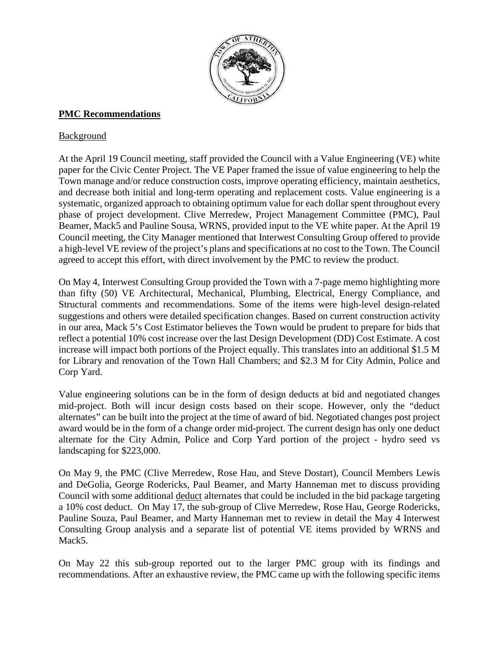

## **PMC Recommendations**

### Background

At the April 19 Council meeting, staff provided the Council with a Value Engineering (VE) white paper for the Civic Center Project. The VE Paper framed the issue of value engineering to help the Town manage and/or reduce construction costs, improve operating efficiency, maintain aesthetics, and decrease both initial and long-term operating and replacement costs. Value engineering is a systematic, organized approach to obtaining optimum value for each dollar spent throughout every phase of project development. Clive Merredew, Project Management Committee (PMC), Paul Beamer, Mack5 and Pauline Sousa, WRNS, provided input to the VE white paper. At the April 19 Council meeting, the City Manager mentioned that Interwest Consulting Group offered to provide a high-level VE review of the project's plans and specifications at no cost to the Town. The Council agreed to accept this effort, with direct involvement by the PMC to review the product.

On May 4, Interwest Consulting Group provided the Town with a 7-page memo highlighting more than fifty (50) VE Architectural, Mechanical, Plumbing, Electrical, Energy Compliance, and Structural comments and recommendations. Some of the items were high-level design-related suggestions and others were detailed specification changes. Based on current construction activity in our area, Mack 5's Cost Estimator believes the Town would be prudent to prepare for bids that reflect a potential 10% cost increase over the last Design Development (DD) Cost Estimate. A cost increase will impact both portions of the Project equally. This translates into an additional \$1.5 M for Library and renovation of the Town Hall Chambers; and \$2.3 M for City Admin, Police and Corp Yard.

Value engineering solutions can be in the form of design deducts at bid and negotiated changes mid-project. Both will incur design costs based on their scope. However, only the "deduct alternates" can be built into the project at the time of award of bid. Negotiated changes post project award would be in the form of a change order mid-project. The current design has only one deduct alternate for the City Admin, Police and Corp Yard portion of the project - hydro seed vs landscaping for \$223,000.

On May 9, the PMC (Clive Merredew, Rose Hau, and Steve Dostart), Council Members Lewis and DeGolia, George Rodericks, Paul Beamer, and Marty Hanneman met to discuss providing Council with some additional deduct alternates that could be included in the bid package targeting a 10% cost deduct. On May 17, the sub-group of Clive Merredew, Rose Hau, George Rodericks, Pauline Souza, Paul Beamer, and Marty Hanneman met to review in detail the May 4 Interwest Consulting Group analysis and a separate list of potential VE items provided by WRNS and Mack<sub>5</sub>.

On May 22 this sub-group reported out to the larger PMC group with its findings and recommendations. After an exhaustive review, the PMC came up with the following specific items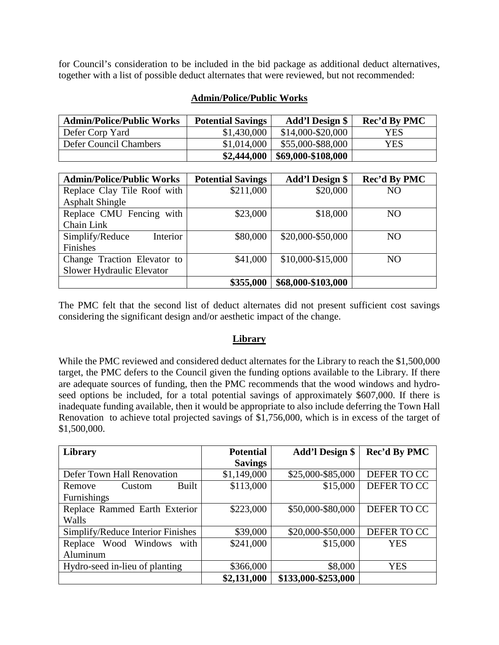for Council's consideration to be included in the bid package as additional deduct alternatives, together with a list of possible deduct alternates that were reviewed, but not recommended:

| <b>Admin/Police/Public Works</b> | <b>Potential Savings</b> | <b>Add'l Design \$</b> | Rec'd By PMC |
|----------------------------------|--------------------------|------------------------|--------------|
| Defer Corp Yard                  | \$1,430,000              | $$14,000-S20,000$      | <b>YES</b>   |
| Defer Council Chambers           | \$1,014,000              | \$55,000-\$88,000      | YES          |
|                                  | \$2,444,000              | \$69,000-\$108,000     |              |

### **Admin/Police/Public Works**

| <b>Admin/Police/Public Works</b> | <b>Potential Savings</b> | <b>Add'l Design \$</b> | Rec'd By PMC    |
|----------------------------------|--------------------------|------------------------|-----------------|
| Replace Clay Tile Roof with      | \$211,000                | \$20,000               | N <sub>O</sub>  |
| <b>Asphalt Shingle</b>           |                          |                        |                 |
| Replace CMU Fencing with         | \$23,000                 | \$18,000               | NO <sub>1</sub> |
| Chain Link                       |                          |                        |                 |
| Interior<br>Simplify/Reduce      | \$80,000                 | \$20,000-\$50,000      | N <sub>O</sub>  |
| Finishes                         |                          |                        |                 |
| Change Traction Elevator to      | \$41,000                 | \$10,000-\$15,000      | NO <sub>1</sub> |
| Slower Hydraulic Elevator        |                          |                        |                 |
|                                  | \$355,000                | \$68,000-\$103,000     |                 |

The PMC felt that the second list of deduct alternates did not present sufficient cost savings considering the significant design and/or aesthetic impact of the change.

### **Library**

While the PMC reviewed and considered deduct alternates for the Library to reach the \$1,500,000 target, the PMC defers to the Council given the funding options available to the Library. If there are adequate sources of funding, then the PMC recommends that the wood windows and hydroseed options be included, for a total potential savings of approximately \$607,000. If there is inadequate funding available, then it would be appropriate to also include deferring the Town Hall Renovation to achieve total projected savings of \$1,756,000, which is in excess of the target of \$1,500,000.

| Library                           | <b>Potential</b> | Add'l Design \$     | Rec'd By PMC |
|-----------------------------------|------------------|---------------------|--------------|
|                                   | <b>Savings</b>   |                     |              |
| Defer Town Hall Renovation        | \$1,149,000      | \$25,000-\$85,000   | DEFER TO CC  |
| Built<br>Custom<br>Remove         | \$113,000        | \$15,000            | DEFER TO CC  |
| Furnishings                       |                  |                     |              |
| Replace Rammed Earth Exterior     | \$223,000        | \$50,000-\$80,000   | DEFER TO CC  |
| Walls                             |                  |                     |              |
| Simplify/Reduce Interior Finishes | \$39,000         | \$20,000-\$50,000   | DEFER TO CC  |
| Replace Wood Windows with         | \$241,000        | \$15,000            | <b>YES</b>   |
| Aluminum                          |                  |                     |              |
| Hydro-seed in-lieu of planting    | \$366,000        | \$8,000             | <b>YES</b>   |
|                                   | \$2,131,000      | \$133,000-\$253,000 |              |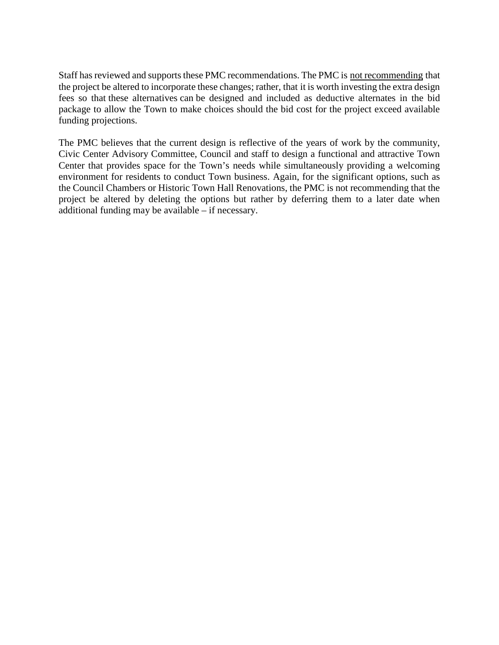Staff has reviewed and supports these PMC recommendations. The PMC is not recommending that the project be altered to incorporate these changes; rather, that it is worth investing the extra design fees so that these alternatives can be designed and included as deductive alternates in the bid package to allow the Town to make choices should the bid cost for the project exceed available funding projections.

The PMC believes that the current design is reflective of the years of work by the community, Civic Center Advisory Committee, Council and staff to design a functional and attractive Town Center that provides space for the Town's needs while simultaneously providing a welcoming environment for residents to conduct Town business. Again, for the significant options, such as the Council Chambers or Historic Town Hall Renovations, the PMC is not recommending that the project be altered by deleting the options but rather by deferring them to a later date when additional funding may be available – if necessary.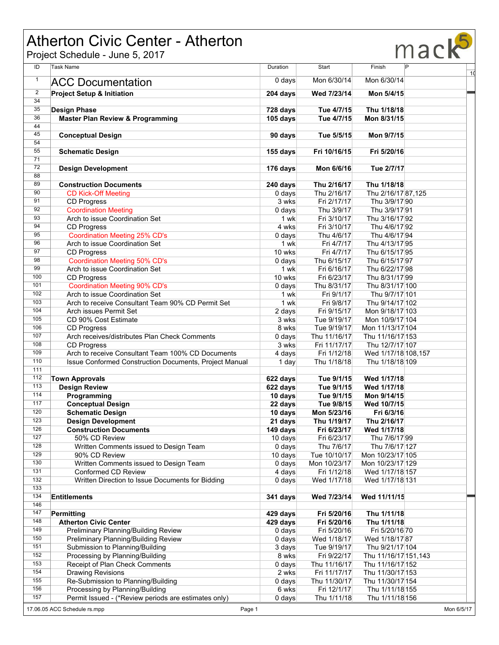# Atherton Civic Center - Atherton

Project Schedule - June 5, 2017



| ID             | <b>Task Name</b>                                                       | Duration             | Start                        | Finish                              | P | 1 <sub>d</sub> |
|----------------|------------------------------------------------------------------------|----------------------|------------------------------|-------------------------------------|---|----------------|
| $\mathbf{1}$   | <b>ACC Documentation</b>                                               | $0$ days             | Mon 6/30/14                  | Mon 6/30/14                         |   |                |
| $\overline{2}$ |                                                                        |                      |                              |                                     |   |                |
| 34             | <b>Project Setup &amp; Initiation</b>                                  | 204 days             | Wed 7/23/14                  | Mon 5/4/15                          |   |                |
| 35             |                                                                        |                      |                              |                                     |   |                |
| 36             | <b>Design Phase</b><br><b>Master Plan Review &amp; Programming</b>     | 728 days<br>105 days | Tue 4/7/15<br>Tue 4/7/15     | Thu 1/18/18<br>Mon 8/31/15          |   |                |
| 44             |                                                                        |                      |                              |                                     |   |                |
| 45             | <b>Conceptual Design</b>                                               | 90 days              | Tue 5/5/15                   | Mon 9/7/15                          |   |                |
| 54             |                                                                        |                      |                              |                                     |   |                |
| 55             | <b>Schematic Design</b>                                                | 155 days             | Fri 10/16/15                 | Fri 5/20/16                         |   |                |
| 71             |                                                                        |                      |                              |                                     |   |                |
| 72             | <b>Design Development</b>                                              | 176 days             | Mon 6/6/16                   | Tue 2/7/17                          |   |                |
| 88             |                                                                        |                      |                              |                                     |   |                |
| 89             | <b>Construction Documents</b>                                          | 240 days             | Thu 2/16/17                  | Thu 1/18/18                         |   |                |
| 90             | <b>CD Kick-Off Meeting</b>                                             | $0$ days             | Thu 2/16/17                  | Thu 2/16/17 87,125                  |   |                |
| 91             | <b>CD Progress</b>                                                     | 3 wks                | Fri 2/17/17                  | Thu 3/9/17 90                       |   |                |
| 92             | <b>Coordination Meeting</b>                                            | $0$ days             | Thu 3/9/17                   | Thu 3/9/17 91                       |   |                |
| 93             | Arch to issue Coordination Set                                         | 1 wk                 | Fri 3/10/17                  | Thu 3/16/17 92                      |   |                |
| 94             | <b>CD Progress</b>                                                     | 4 wks                | Fri 3/10/17                  | Thu 4/6/17 92                       |   |                |
| 95             | <b>Coordination Meeting 25% CD's</b>                                   | $0$ days             | Thu 4/6/17                   | Thu 4/6/17 94                       |   |                |
| 96<br>97       | Arch to issue Coordination Set                                         | 1 wk                 | Fri 4/7/17                   | Thu 4/13/17 95                      |   |                |
| 98             | <b>CD Progress</b>                                                     | 10 wks               | Fri 4/7/17                   | Thu 6/15/17 95                      |   |                |
| 99             | <b>Coordination Meeting 50% CD's</b><br>Arch to issue Coordination Set | $0$ days<br>1 wk     | Thu 6/15/17<br>Fri 6/16/17   | Thu 6/15/17 97<br>Thu 6/22/17 98    |   |                |
| 100            | <b>CD Progress</b>                                                     | 10 wks               | Fri 6/23/17                  | Thu 8/31/17 99                      |   |                |
| 101            | <b>Coordination Meeting 90% CD's</b>                                   | $0$ days             | Thu 8/31/17                  | Thu 8/31/17 100                     |   |                |
| 102            | Arch to issue Coordination Set                                         | 1 wk                 | Fri 9/1/17                   | Thu 9/7/17 101                      |   |                |
| 103            | Arch to receive Consultant Team 90% CD Permit Set                      | 1 wk                 | Fri 9/8/17                   | Thu 9/14/17 102                     |   |                |
| 104            | Arch issues Permit Set                                                 | 2 days               | Fri 9/15/17                  | Mon 9/18/17 103                     |   |                |
| 105            | CD 90% Cost Estimate                                                   | 3 wks                | Tue 9/19/17                  | Mon 10/9/17 104                     |   |                |
| 106            | <b>CD Progress</b>                                                     | 8 wks                | Tue 9/19/17                  | Mon 11/13/17 104                    |   |                |
| 107            | Arch receives/distributes Plan Check Comments                          | $0$ days             | Thu 11/16/17                 | Thu 11/16/17 153                    |   |                |
| 108            | <b>CD Progress</b>                                                     | 3 wks                | Fri 11/17/17                 | Thu 12/7/17 107                     |   |                |
| 109            | Arch to receive Consultant Team 100% CD Documents                      | 4 days               | Fri 1/12/18                  | Wed 1/17/18 108,157                 |   |                |
| 110            | Issue Conformed Construction Documents, Project Manual                 | 1 day                | Thu 1/18/18                  | Thu 1/18/18 109                     |   |                |
| 111            |                                                                        |                      |                              |                                     |   |                |
| 112            | <b>Town Approvals</b>                                                  | 622 days             | Tue 9/1/15                   | Wed 1/17/18                         |   |                |
| 113            | <b>Design Review</b>                                                   | 622 days             | Tue 9/1/15                   | Wed 1/17/18                         |   |                |
| 114            | Programming                                                            | 10 days              | Tue 9/1/15                   | Mon 9/14/15                         |   |                |
| 117            | <b>Conceptual Design</b>                                               | 22 days              | Tue 9/8/15                   | Wed 10/7/15                         |   |                |
| 120            | <b>Schematic Design</b>                                                | 10 days              | Mon 5/23/16                  | Fri 6/3/16                          |   |                |
| 123            | <b>Design Development</b>                                              | 21 days              | Thu 1/19/17                  | Thu 2/16/17                         |   |                |
| 126            | <b>Construction Documents</b>                                          | 149 days             | Fri 6/23/17                  | Wed 1/17/18                         |   |                |
| 127            | 50% CD Review                                                          | 10 days              | Fri 6/23/17                  | Thu 7/6/17 99                       |   |                |
| 128<br>129     | Written Comments issued to Design Team                                 | $0$ days             | Thu 7/6/17                   | Thu 7/6/17 127                      |   |                |
| 130            | 90% CD Review<br>Written Comments issued to Design Team                | $10$ days            | Tue 10/10/17<br>Mon 10/23/17 | Mon 10/23/17 105                    |   |                |
| 131            | Conformed CD Review                                                    | 0 days<br>4 days     | Fri 1/12/18                  | Mon 10/23/17 129<br>Wed 1/17/18 157 |   |                |
| 132            | Written Direction to Issue Documents for Bidding                       | $0$ days             | Wed 1/17/18                  | Wed 1/17/18 131                     |   |                |
| 133            |                                                                        |                      |                              |                                     |   |                |
| 134            | <b>Entitlements</b>                                                    | 341 days             | Wed 7/23/14                  | Wed 11/11/15                        |   |                |
| 146            |                                                                        |                      |                              |                                     |   |                |
| 147            | Permitting                                                             | 429 days             | Fri 5/20/16                  | Thu 1/11/18                         |   |                |
| 148            | <b>Atherton Civic Center</b>                                           | 429 days             | Fri 5/20/16                  | Thu 1/11/18                         |   |                |
| 149            | Preliminary Planning/Building Review                                   | 0 days               | Fri 5/20/16                  | Fri 5/20/16 70                      |   |                |
| 150            | Preliminary Planning/Building Review                                   | 0 days               | Wed 1/18/17                  | Wed 1/18/17 87                      |   |                |
| 151            | Submission to Planning/Building                                        | 3 days               | Tue 9/19/17                  | Thu 9/21/17 104                     |   |                |
| 152            | Processing by Planning/Building                                        | 8 wks                | Fri 9/22/17                  | Thu 11/16/17 151,143                |   |                |
| 153            | Receipt of Plan Check Comments                                         | $0$ days             | Thu 11/16/17                 | Thu 11/16/17 152                    |   |                |
| 154            | <b>Drawing Revisions</b>                                               | 2 wks                | Fri 11/17/17                 | Thu 11/30/17 153                    |   |                |
| 155            | Re-Submission to Planning/Building                                     | 0 days               | Thu 11/30/17                 | Thu 11/30/17 154                    |   |                |
| 156            | Processing by Planning/Building                                        | 6 wks                | Fri 12/1/17                  | Thu 1/11/18 155                     |   |                |
| 157            | Permit Issued - (*Review periods are estimates only)                   | $0$ days             | Thu 1/11/18                  | Thu 1/11/18 156                     |   |                |
|                | 17.06.05 ACC Schedule rs.mpp<br>Page 1                                 |                      |                              |                                     |   | Mon 6/5/17     |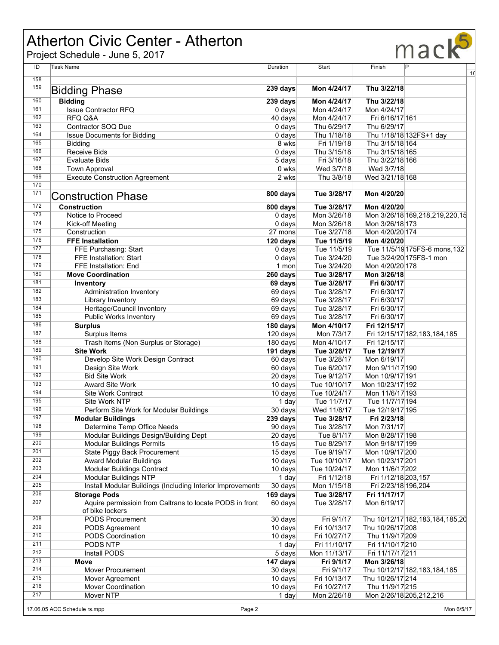# Atherton Civic Center - Atherton

Project Schedule - June 5, 2017



| ID  | Task Name                                                  | Duration          | Start        | Finish              | P                                   |
|-----|------------------------------------------------------------|-------------------|--------------|---------------------|-------------------------------------|
| 158 |                                                            |                   |              |                     | $\overline{10}$                     |
| 159 |                                                            | 239 days          | Mon 4/24/17  | Thu 3/22/18         |                                     |
|     | <b>Bidding Phase</b>                                       |                   |              |                     |                                     |
| 160 | <b>Bidding</b>                                             | 239 days          | Mon 4/24/17  | Thu 3/22/18         |                                     |
| 161 | <b>Issue Contractor RFQ</b>                                | 0 days            | Mon 4/24/17  | Mon 4/24/17         |                                     |
| 162 | RFQ Q&A                                                    | 40 days           | Mon 4/24/17  | Fri 6/16/17 161     |                                     |
| 163 | Contractor SOQ Due                                         | $0$ days          | Thu 6/29/17  | Thu 6/29/17         |                                     |
| 164 | <b>Issue Documents for Bidding</b>                         | 0 days            | Thu 1/18/18  |                     | Thu 1/18/18 132FS+1 day             |
| 165 | <b>Bidding</b>                                             | 8 wks             | Fri 1/19/18  | Thu 3/15/18 164     |                                     |
| 166 | <b>Receive Bids</b>                                        | $0$ days          | Thu 3/15/18  | Thu 3/15/18 165     |                                     |
| 167 | <b>Evaluate Bids</b>                                       | 5 days            | Fri 3/16/18  | Thu 3/22/18 166     |                                     |
| 168 | <b>Town Approval</b>                                       | 0 wks             | Wed 3/7/18   | Wed 3/7/18          |                                     |
| 169 | <b>Execute Construction Agreement</b>                      | 2 wks             | Thu 3/8/18   | Wed 3/21/18 168     |                                     |
| 170 |                                                            |                   |              |                     |                                     |
| 171 |                                                            | 800 days          | Tue 3/28/17  | Mon 4/20/20         |                                     |
|     | <b>Construction Phase</b>                                  |                   |              |                     |                                     |
| 172 | <b>Construction</b>                                        | 800 days          | Tue 3/28/17  | Mon 4/20/20         |                                     |
| 173 | Notice to Proceed                                          | 0 days            | Mon 3/26/18  |                     | Mon 3/26/18 169,218,219,220,15      |
| 174 | Kick-off Meeting                                           | $0$ days          | Mon 3/26/18  | Mon 3/26/18 173     |                                     |
| 175 | Construction                                               | 27 mons           | Tue 3/27/18  | Mon 4/20/20 174     |                                     |
| 176 | <b>FFE Installation</b>                                    | 120 days          | Tue 11/5/19  | Mon 4/20/20         |                                     |
| 177 | FFE Purchasing: Start                                      | $0$ days          | Tue 11/5/19  |                     | Tue 11/5/19 175FS-6 mons, 132       |
| 178 | FFE Installation: Start                                    | $0$ days          | Tue 3/24/20  |                     | Tue 3/24/20 175 FS-1 mon            |
| 179 | <b>FFE</b> Installation: End                               | 1 mon             | Tue 3/24/20  | Mon 4/20/20 178     |                                     |
| 180 | <b>Move Coordination</b>                                   | 260 days          | Tue 3/28/17  | Mon 3/26/18         |                                     |
| 181 |                                                            | 69 days           | Tue 3/28/17  | Fri 6/30/17         |                                     |
| 182 | Inventory<br><b>Administration Inventory</b>               | 69 days           | Tue 3/28/17  | Fri 6/30/17         |                                     |
| 183 |                                                            |                   |              |                     |                                     |
| 184 | Library Inventory                                          | 69 days           | Tue 3/28/17  | Fri 6/30/17         |                                     |
|     | Heritage/Council Inventory                                 | 69 days           | Tue 3/28/17  | Fri 6/30/17         |                                     |
| 185 | Public Works Inventory                                     | 69 days           | Tue 3/28/17  | Fri 6/30/17         |                                     |
| 186 | <b>Surplus</b>                                             | 180 days          | Mon 4/10/17  | Fri 12/15/17        |                                     |
| 187 | Surplus Items                                              | 120 days          | Mon 7/3/17   |                     | Fri 12/15/17 182, 183, 184, 185     |
| 188 | Trash Items (Non Surplus or Storage)                       | 180 days          | Mon 4/10/17  | Fri 12/15/17        |                                     |
| 189 | <b>Site Work</b>                                           | 191 days          | Tue 3/28/17  | Tue 12/19/17        |                                     |
| 190 | Develop Site Work Design Contract                          | 60 days           | Tue 3/28/17  | Mon 6/19/17         |                                     |
| 191 | Design Site Work                                           | 60 days           | Tue 6/20/17  | Mon 9/11/17 190     |                                     |
| 192 | <b>Bid Site Work</b>                                       | 20 days           | Tue 9/12/17  | Mon 10/9/17 191     |                                     |
| 193 | <b>Award Site Work</b>                                     | $10 \text{ days}$ | Tue 10/10/17 | Mon 10/23/17 192    |                                     |
| 194 | <b>Site Work Contract</b>                                  | $10 \text{ days}$ | Tue 10/24/17 | Mon 11/6/17 193     |                                     |
| 195 | <b>Site Work NTP</b>                                       | 1 day             | Tue 11/7/17  | Tue 11/7/17 194     |                                     |
| 196 | Perform Site Work for Modular Buildings                    | 30 days           | Wed 11/8/17  | Tue 12/19/17 195    |                                     |
| 197 | <b>Modular Buildings</b>                                   | 239 days          | Tue 3/28/17  | Fri 2/23/18         |                                     |
| 198 | Determine Temp Office Needs                                | 90 days           | Tue 3/28/17  | Mon 7/31/17         |                                     |
| 199 | Modular Buildings Design/Building Dept                     | 20 days           | Tue 8/1/17   | Mon 8/28/17 198     |                                     |
| 200 | <b>Modular Buildings Permits</b>                           | 15 days           | Tue 8/29/17  | Mon 9/18/17 199     |                                     |
| 201 | State Piggy Back Procurement                               | 15 days           | Tue 9/19/17  | Mon 10/9/17 200     |                                     |
| 202 | Award Modular Buildings                                    | 10 days           | Tue 10/10/17 | Mon 10/23/17 201    |                                     |
| 203 | <b>Modular Buildings Contract</b>                          | $10 \text{ days}$ | Tue 10/24/17 | Mon 11/6/17 202     |                                     |
| 204 | Modular Buildings NTP                                      | 1 day             | Fri 1/12/18  | Fri 1/12/18 203,157 |                                     |
| 205 | Install Modular Buildings (Including Interior Improvements | 30 days           | Mon 1/15/18  | Fri 2/23/18 196,204 |                                     |
| 206 |                                                            |                   |              |                     |                                     |
| 207 | <b>Storage Pods</b>                                        | 169 days          | Tue 3/28/17  | Fri 11/17/17        |                                     |
|     | Aquire permissioin from Caltrans to locate PODS in front   | 60 days           | Tue 3/28/17  | Mon 6/19/17         |                                     |
|     | of bike lockers                                            |                   |              |                     |                                     |
| 208 | PODS Procurement                                           | 30 days           | Fri 9/1/17   |                     | Thu 10/12/17 182, 183, 184, 185, 20 |
| 209 | PODS Agreement                                             | $10 \text{ days}$ | Fri 10/13/17 | Thu 10/26/17 208    |                                     |
| 210 | <b>PODS Coordination</b>                                   | $10 \text{ days}$ | Fri 10/27/17 | Thu 11/9/17 209     |                                     |
| 211 | PODS NTP                                                   | 1 day             | Fri 11/10/17 | Fri 11/10/17 210    |                                     |
| 212 | Install PODS                                               | 5 days            | Mon 11/13/17 | Fri 11/17/17 211    |                                     |
| 213 | Move                                                       | 147 days          | Fri 9/1/17   | Mon 3/26/18         |                                     |
| 214 | <b>Mover Procurement</b>                                   | 30 days           | Fri 9/1/17   |                     | Thu 10/12/17 182, 183, 184, 185     |
| 215 | Mover Agreement                                            | 10 days           | Fri 10/13/17 | Thu 10/26/17 214    |                                     |
| 216 | <b>Mover Coordination</b>                                  | 10 days           | Fri 10/27/17 | Thu 11/9/17 215     |                                     |
| 217 | Mover NTP                                                  | 1 day             | Mon 2/26/18  |                     | Mon 2/26/18 205, 212, 216           |
|     |                                                            |                   |              |                     |                                     |
|     | 17.06.05 ACC Schedule rs.mpp<br>Page 2                     |                   |              |                     | Mon 6/5/17                          |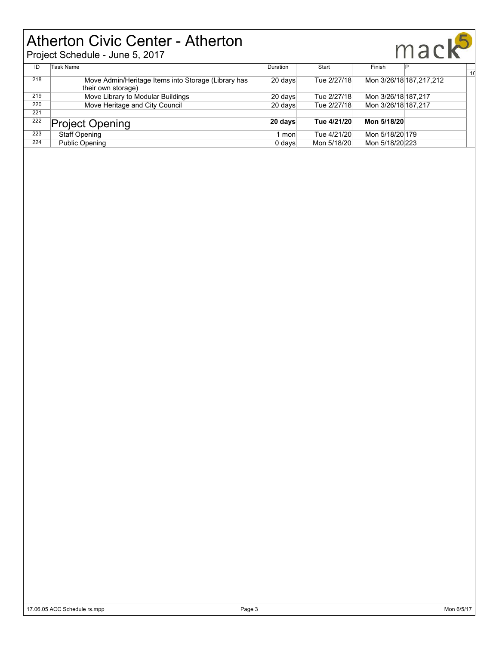# Atherton Civic Center - Atherton

|     | <b>Atherton Civic Center - Atherton</b><br>Project Schedule - June 5, 2017 |          |             | mack                      |    |
|-----|----------------------------------------------------------------------------|----------|-------------|---------------------------|----|
| ID  | Task Name                                                                  | Duration | Start       | Finish                    | 10 |
| 218 | Move Admin/Heritage Items into Storage (Library has<br>their own storage)  | 20 days  | Tue 2/27/18 | Mon 3/26/18 187, 217, 212 |    |
| 219 | Move Library to Modular Buildings                                          | 20 days  | Tue 2/27/18 | Mon 3/26/18 187,217       |    |
| 220 | Move Heritage and City Council                                             | 20 days  | Tue 2/27/18 | Mon 3/26/18 187,217       |    |
| 221 |                                                                            |          |             |                           |    |
| 222 | <b>Project Opening</b>                                                     | 20 days  | Tue 4/21/20 | Mon 5/18/20               |    |
| 223 | <b>Staff Opening</b>                                                       | l mon    | Tue 4/21/20 | Mon 5/18/20 179           |    |
| 224 | <b>Public Opening</b>                                                      | 0 days   | Mon 5/18/20 | Mon 5/18/20 223           |    |